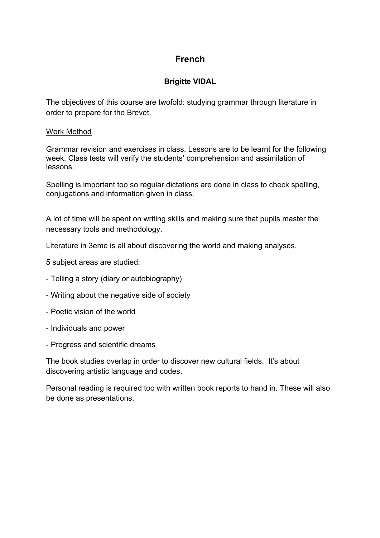## **French**

### **Brigitte VIDAL**

The objectives of this course are twofold: studying grammar through literature in order to prepare for the Brevet.

#### Work Method

Grammar revision and exercises in class. Lessons are to be learnt for the following week. Class tests will verify the students' comprehension and assimilation of lessons.

Spelling is important too so regular dictations are done in class to check spelling, conjugations and information given in class.

A lot of time will be spent on writing skills and making sure that pupils master the necessary tools and methodology.

Literature in 3eme is all about discovering the world and making analyses.

5 subject areas are studied:

- Telling a story (diary or autobiography)
- Writing about the negative side of society
- Poetic vision of the world
- Individuals and power
- Progress and scientific dreams

The book studies overlap in order to discover new cultural fields. It's about discovering artistic language and codes.

Personal reading is required too with written book reports to hand in. These will also be done as presentations.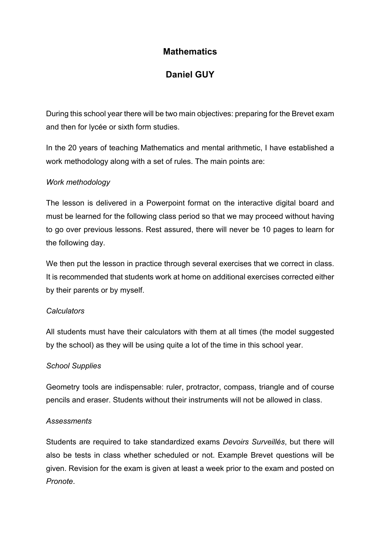### **Mathematics**

## **Daniel GUY**

During this school year there will be two main objectives: preparing for the Brevet exam and then for lycée or sixth form studies.

In the 20 years of teaching Mathematics and mental arithmetic, I have established a work methodology along with a set of rules. The main points are:

### *Work methodology*

The lesson is delivered in a Powerpoint format on the interactive digital board and must be learned for the following class period so that we may proceed without having to go over previous lessons. Rest assured, there will never be 10 pages to learn for the following day.

We then put the lesson in practice through several exercises that we correct in class. It is recommended that students work at home on additional exercises corrected either by their parents or by myself.

### *Calculators*

All students must have their calculators with them at all times (the model suggested by the school) as they will be using quite a lot of the time in this school year.

### *School Supplies*

Geometry tools are indispensable: ruler, protractor, compass, triangle and of course pencils and eraser. Students without their instruments will not be allowed in class.

#### *Assessments*

Students are required to take standardized exams *Devoirs Surveillés*, but there will also be tests in class whether scheduled or not. Example Brevet questions will be given. Revision for the exam is given at least a week prior to the exam and posted on *Pronote*.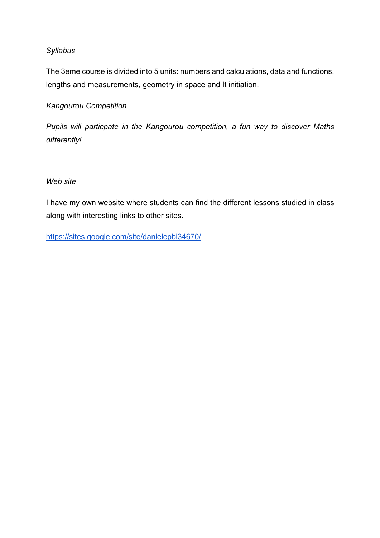### *Syllabus*

The 3eme course is divided into 5 units: numbers and calculations, data and functions, lengths and measurements, geometry in space and It initiation.

### *Kangourou Competition*

*Pupils will particpate in the Kangourou competition, a fun way to discover Maths differently!*

### *Web site*

I have my own website where students can find the different lessons studied in class along with interesting links to other sites.

https://sites.google.com/site/danielepbi34670/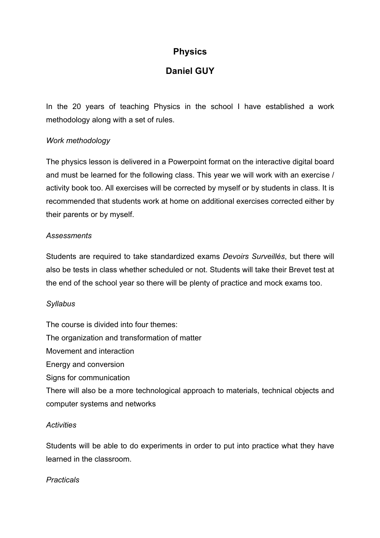## **Physics**

## **Daniel GUY**

In the 20 years of teaching Physics in the school I have established a work methodology along with a set of rules.

### *Work methodology*

The physics lesson is delivered in a Powerpoint format on the interactive digital board and must be learned for the following class. This year we will work with an exercise / activity book too. All exercises will be corrected by myself or by students in class. It is recommended that students work at home on additional exercises corrected either by their parents or by myself.

### *Assessments*

Students are required to take standardized exams *Devoirs Surveillés*, but there will also be tests in class whether scheduled or not. Students will take their Brevet test at the end of the school year so there will be plenty of practice and mock exams too.

### *Syllabus*

The course is divided into four themes: The organization and transformation of matter Movement and interaction Energy and conversion Signs for communication There will also be a more technological approach to materials, technical objects and

### *Activities*

computer systems and networks

Students will be able to do experiments in order to put into practice what they have learned in the classroom.

#### *Practicals*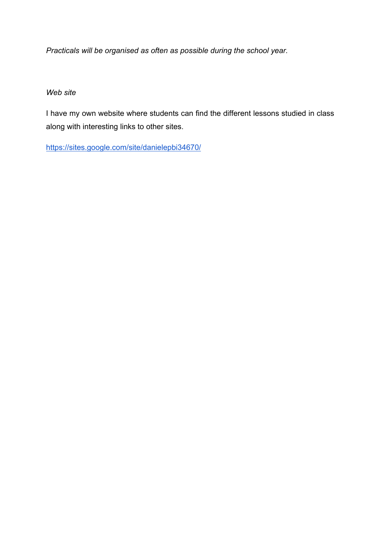*Practicals will be organised as often as possible during the school year.*

### *Web site*

I have my own website where students can find the different lessons studied in class along with interesting links to other sites.

https://sites.google.com/site/danielepbi34670/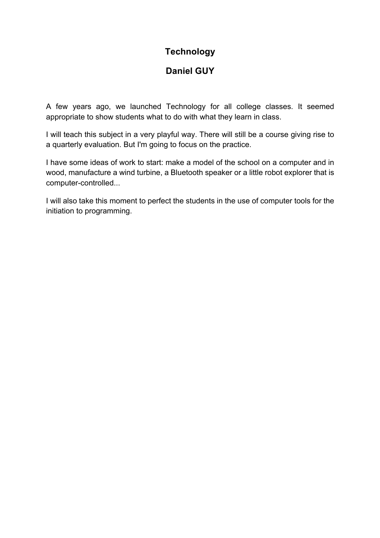## **Technology**

## **Daniel GUY**

A few years ago, we launched Technology for all college classes. It seemed appropriate to show students what to do with what they learn in class.

I will teach this subject in a very playful way. There will still be a course giving rise to a quarterly evaluation. But I'm going to focus on the practice.

I have some ideas of work to start: make a model of the school on a computer and in wood, manufacture a wind turbine, a Bluetooth speaker or a little robot explorer that is computer-controlled...

I will also take this moment to perfect the students in the use of computer tools for the initiation to programming.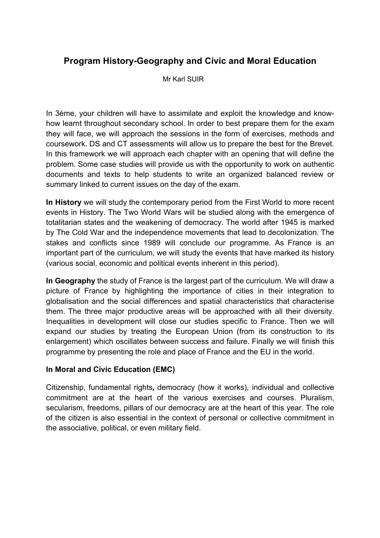## **Program History-Geography and Civic and Moral Education**

Mr Karl SUIR

In 3ème, your children will have to assimilate and exploit the knowledge and knowhow learnt throughout secondary school. In order to best prepare them for the exam they will face, we will approach the sessions in the form of exercises, methods and coursework. DS and CT assessments will allow us to prepare the best for the Brevet. In this framework we will approach each chapter with an opening that will define the problem. Some case studies will provide us with the opportunity to work on authentic documents and texts to help students to write an organized balanced review or summary linked to current issues on the day of the exam.

**In History** we will study the contemporary period from the First World to more recent events in History. The Two World Wars will be studied along with the emergence of totalitarian states and the weakening of democracy. The world after 1945 is marked by The Cold War and the independence movements that lead to decolonization. The stakes and conflicts since 1989 will conclude our programme. As France is an important part of the curriculum, we will study the events that have marked its history (various social, economic and political events inherent in this period).

**In Geography** the study of France is the largest part of the curriculum. We will draw a picture of France by highlighting the importance of cities in their integration to globalisation and the social differences and spatial characteristics that characterise them. The three major productive areas will be approached with all their diversity. Inequalities in development will close our studies specific to France. Then we will expand our studies by treating the European Union (from its construction to its enlargement) which oscillates between success and failure. Finally we will finish this programme by presenting the role and place of France and the EU in the world.

### **In Moral and Civic Education (EMC)**

Citizenship, fundamental rights*,* democracy (how it works), individual and collective commitment are at the heart of the various exercises and courses. Pluralism, secularism, freedoms, pillars of our democracy are at the heart of this year. The role of the citizen is also essential in the context of personal or collective commitment in the associative, political, or even military field.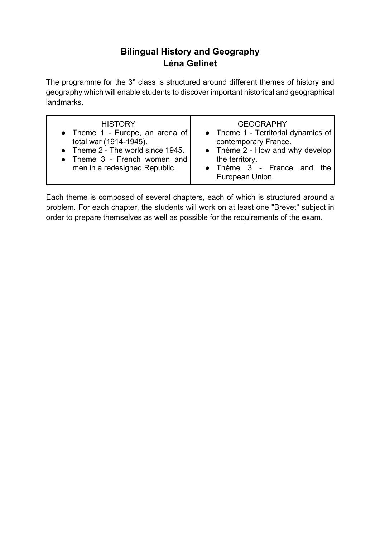## **Bilingual History and Geography Léna Gelinet**

The programme for the 3° class is structured around different themes of history and geography which will enable students to discover important historical and geographical landmarks.

| <b>HISTORY</b><br>• Theme 1 - Europe, an arena of<br>total war (1914-1945).<br>• Theme 2 - The world since 1945.<br>• Theme 3 - French women and<br>men in a redesigned Republic. | <b>GEOGRAPHY</b><br>• Theme 1 - Territorial dynamics of<br>contemporary France.<br>• Thème $2$ - How and why develop<br>the territory.<br>• Thème 3 - France and the<br>European Union. |
|-----------------------------------------------------------------------------------------------------------------------------------------------------------------------------------|-----------------------------------------------------------------------------------------------------------------------------------------------------------------------------------------|
|-----------------------------------------------------------------------------------------------------------------------------------------------------------------------------------|-----------------------------------------------------------------------------------------------------------------------------------------------------------------------------------------|

Each theme is composed of several chapters, each of which is structured around a problem. For each chapter, the students will work on at least one "Brevet" subject in order to prepare themselves as well as possible for the requirements of the exam.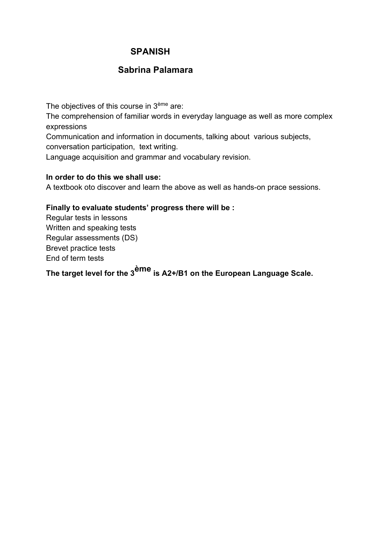## **SPANISH**

### **Sabrina Palamara**

The objectives of this course in 3<sup>ème</sup> are: The comprehension of familiar words in everyday language as well as more complex expressions Communication and information in documents, talking about various subjects, conversation participation, text writing.

Language acquisition and grammar and vocabulary revision.

### **In order to do this we shall use:**

A textbook oto discover and learn the above as well as hands-on prace sessions.

#### **Finally to evaluate students' progress there will be :**

Regular tests in lessons Written and speaking tests Regular assessments (DS) Brevet practice tests End of term tests

**The target level for the 3ème is A2+/B1 on the European Language Scale.**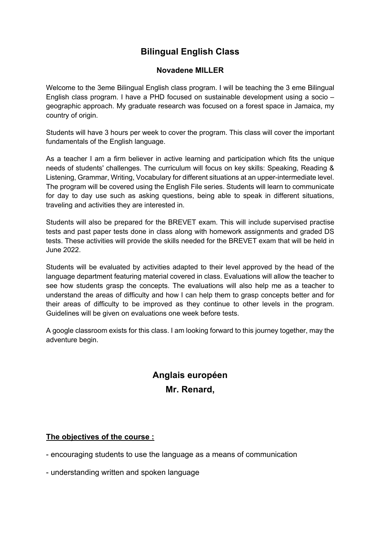## **Bilingual English Class**

### **Novadene MILLER**

Welcome to the 3eme Bilingual English class program. I will be teaching the 3 eme Bilingual English class program. I have a PHD focused on sustainable development using a socio – geographic approach. My graduate research was focused on a forest space in Jamaica, my country of origin.

Students will have 3 hours per week to cover the program. This class will cover the important fundamentals of the English language.

As a teacher I am a firm believer in active learning and participation which fits the unique needs of students' challenges. The curriculum will focus on key skills: Speaking, Reading & Listening, Grammar, Writing, Vocabulary for different situations at an upper-intermediate level. The program will be covered using the English File series. Students will learn to communicate for day to day use such as asking questions, being able to speak in different situations, traveling and activities they are interested in.

Students will also be prepared for the BREVET exam. This will include supervised practise tests and past paper tests done in class along with homework assignments and graded DS tests. These activities will provide the skills needed for the BREVET exam that will be held in June 2022.

Students will be evaluated by activities adapted to their level approved by the head of the language department featuring material covered in class. Evaluations will allow the teacher to see how students grasp the concepts. The evaluations will also help me as a teacher to understand the areas of difficulty and how I can help them to grasp concepts better and for their areas of difficulty to be improved as they continue to other levels in the program. Guidelines will be given on evaluations one week before tests.

A google classroom exists for this class. I am looking forward to this journey together, may the adventure begin.

# **Anglais européen Mr. Renard,**

### **The objectives of the course :**

- encouraging students to use the language as a means of communication

- understanding written and spoken language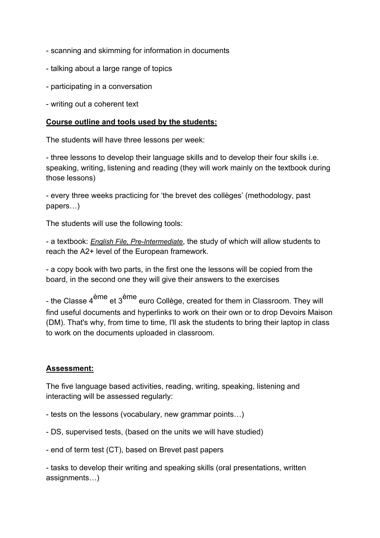- scanning and skimming for information in documents
- talking about a large range of topics
- participating in a conversation
- writing out a coherent text

#### **Course outline and tools used by the students:**

The students will have three lessons per week:

- three lessons to develop their language skills and to develop their four skills i.e. speaking, writing, listening and reading (they will work mainly on the textbook during those lessons)

- every three weeks practicing for 'the brevet des collèges' (methodology, past papers…)

The students will use the following tools:

- a textbook: *English File, Pre-Intermediate*, the study of which will allow students to reach the A2+ level of the European framework.

- a copy book with two parts, in the first one the lessons will be copied from the board, in the second one they will give their answers to the exercises

- the Classe 4<sup>ème</sup> et 3<sup>ème</sup> euro Collège, created for them in Classroom. They will find useful documents and hyperlinks to work on their own or to drop Devoirs Maison (DM). That's why, from time to time, I'll ask the students to bring their laptop in class to work on the documents uploaded in classroom.

### **Assessment:**

The five language based activities, reading, writing, speaking, listening and interacting will be assessed regularly:

- tests on the lessons (vocabulary, new grammar points…)
- DS, supervised tests, (based on the units we will have studied)
- end of term test (CT), based on Brevet past papers

- tasks to develop their writing and speaking skills (oral presentations, written assignments…)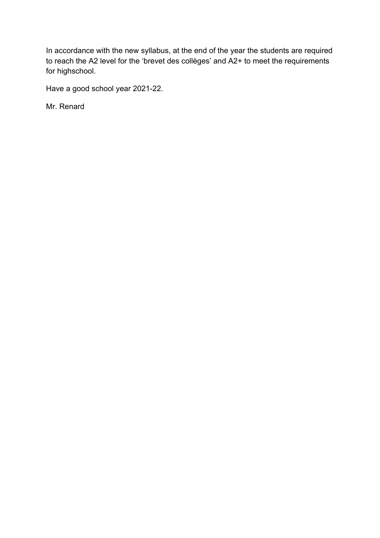In accordance with the new syllabus, at the end of the year the students are required to reach the A2 level for the 'brevet des collèges' and A2+ to meet the requirements for highschool.

Have a good school year 2021-22.

Mr. Renard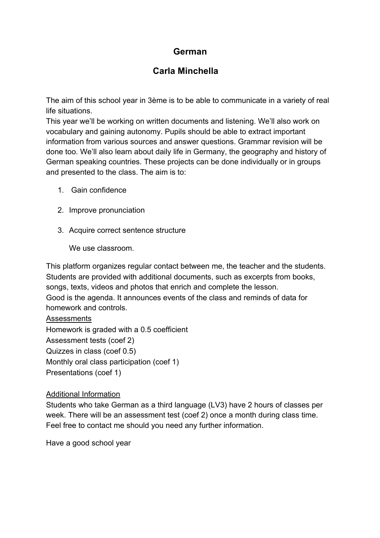## **German**

### **Carla Minchella**

The aim of this school year in 3ème is to be able to communicate in a variety of real life situations.

This year we'll be working on written documents and listening. We'll also work on vocabulary and gaining autonomy. Pupils should be able to extract important information from various sources and answer questions. Grammar revision will be done too. We'll also learn about daily life in Germany, the geography and history of German speaking countries. These projects can be done individually or in groups and presented to the class. The aim is to:

- 1. Gain confidence
- 2. Improve pronunciation
- 3. Acquire correct sentence structure

We use classroom.

This platform organizes regular contact between me, the teacher and the students. Students are provided with additional documents, such as excerpts from books, songs, texts, videos and photos that enrich and complete the lesson. Good is the agenda. It announces events of the class and reminds of data for homework and controls.

**Assessments** Homework is graded with a 0.5 coefficient Assessment tests (coef 2) Quizzes in class (coef 0.5) Monthly oral class participation (coef 1) Presentations (coef 1)

#### Additional Information

Students who take German as a third language (LV3) have 2 hours of classes per week. There will be an assessment test (coef 2) once a month during class time. Feel free to contact me should you need any further information.

Have a good school year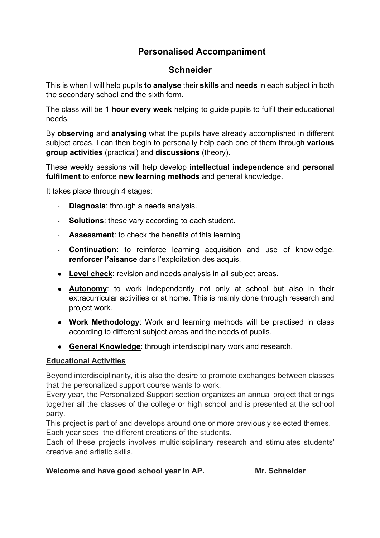## **Personalised Accompaniment**

### **Schneider**

This is when I will help pupils **to analyse** their **skills** and **needs** in each subject in both the secondary school and the sixth form.

The class will be **1 hour every week** helping to guide pupils to fulfil their educational needs.

By **observing** and **analysing** what the pupils have already accomplished in different subject areas, I can then begin to personally help each one of them through **various group activities** (practical) and **discussions** (theory).

These weekly sessions will help develop **intellectual independence** and **personal fulfilment** to enforce **new learning methods** and general knowledge.

It takes place through 4 stages:

- **Diagnosis**: through a needs analysis.
- **Solutions:** these vary according to each student.
- **Assessment**: to check the benefits of this learning
- **Continuation:** to reinforce learning acquisition and use of knowledge. **renforcer l'aisance** dans l'exploitation des acquis.
- **Level check**: revision and needs analysis in all subject areas.
- **Autonomy**: to work independently not only at school but also in their extracurricular activities or at home. This is mainly done through research and project work.
- **Work Methodology**: Work and learning methods will be practised in class according to different subject areas and the needs of pupils.
- **General Knowledge**: through interdisciplinary work and research.

### **Educational Activities**

Beyond interdisciplinarity, it is also the desire to promote exchanges between classes that the personalized support course wants to work.

Every year, the Personalized Support section organizes an annual project that brings together all the classes of the college or high school and is presented at the school party.

This project is part of and develops around one or more previously selected themes. Each year sees the different creations of the students.

Each of these projects involves multidisciplinary research and stimulates students' creative and artistic skills.

### Welcome and have good school year in AP. Mr. Schneider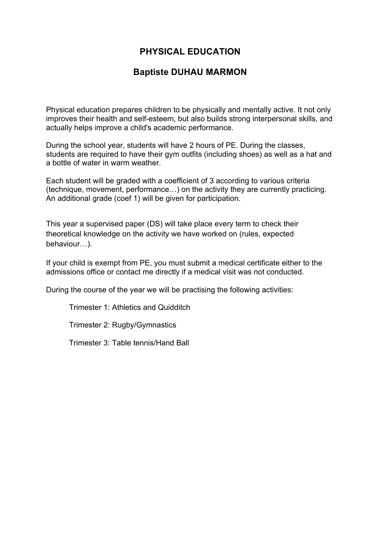## **PHYSICAL EDUCATION**

### **Baptiste DUHAU MARMON**

Physical education prepares children to be physically and mentally active. It not only improves their health and self-esteem, but also builds strong interpersonal skills, and actually helps improve a child's academic performance.

During the school year, students will have 2 hours of PE. During the classes, students are required to have their gym outfits (including shoes) as well as a hat and a bottle of water in warm weather.

Each student will be graded with a coefficient of 3 according to various criteria (technique, movement, performance…) on the activity they are currently practicing. An additional grade (coef 1) will be given for participation.

This year a supervised paper (DS) will take place every term to check their theoretical knowledge on the activity we have worked on (rules, expected behaviour…).

If your child is exempt from PE, you must submit a medical certificate either to the admissions office or contact me directly if a medical visit was not conducted.

During the course of the year we will be practising the following activities:

Trimester 1: Athletics and Quidditch

Trimester 2: Rugby/Gymnastics

Trimester 3: Table tennis/Hand Ball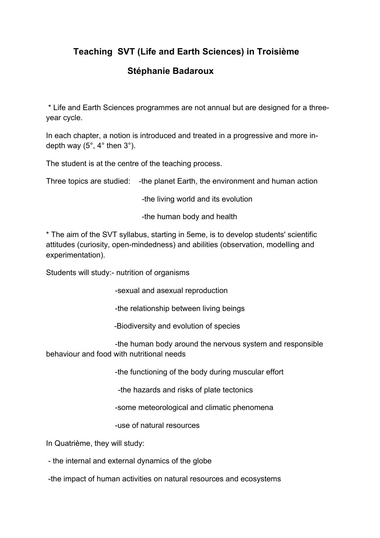## **Teaching SVT (Life and Earth Sciences) in Troisième**

## **Stéphanie Badaroux**

\* Life and Earth Sciences programmes are not annual but are designed for a threeyear cycle.

In each chapter, a notion is introduced and treated in a progressive and more indepth way (5°, 4° then 3°).

The student is at the centre of the teaching process.

Three topics are studied: -the planet Earth, the environment and human action

-the living world and its evolution

-the human body and health

\* The aim of the SVT syllabus, starting in 5eme, is to develop students' scientific attitudes (curiosity, open-mindedness) and abilities (observation, modelling and experimentation).

Students will study:- nutrition of organisms

-sexual and asexual reproduction

-the relationship between living beings

-Biodiversity and evolution of species

 -the human body around the nervous system and responsible behaviour and food with nutritional needs

-the functioning of the body during muscular effort

-the hazards and risks of plate tectonics

-some meteorological and climatic phenomena

-use of natural resources

In Quatrième, they will study:

- the internal and external dynamics of the globe

-the impact of human activities on natural resources and ecosystems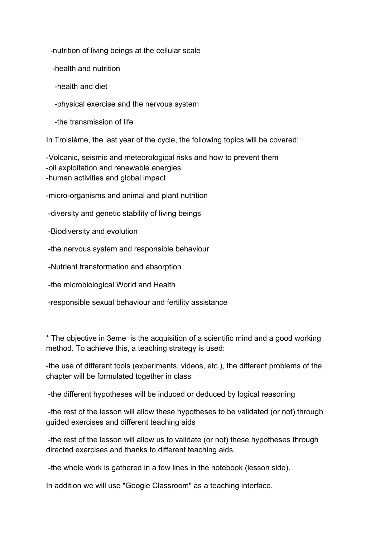-nutrition of living beings at the cellular scale

-health and nutrition

-health and diet

-physical exercise and the nervous system

-the transmission of life

In Troisième, the last year of the cycle, the following topics will be covered:

-Volcanic, seismic and meteorological risks and how to prevent them -oil exploitation and renewable energies -human activities and global impact

-micro-organisms and animal and plant nutrition

-diversity and genetic stability of living beings

-Biodiversity and evolution

-the nervous system and responsible behaviour

-Nutrient transformation and absorption

-the microbiological World and Health

-responsible sexual behaviour and fertility assistance

\* The objective in 3eme is the acquisition of a scientific mind and a good working method. To achieve this, a teaching strategy is used:

-the use of different tools (experiments, videos, etc.), the different problems of the chapter will be formulated together in class

-the different hypotheses will be induced or deduced by logical reasoning

-the rest of the lesson will allow these hypotheses to be validated (or not) through guided exercises and different teaching aids

-the rest of the lesson will allow us to validate (or not) these hypotheses through directed exercises and thanks to different teaching aids.

-the whole work is gathered in a few lines in the notebook (lesson side).

In addition we will use "Google Classroom" as a teaching interface.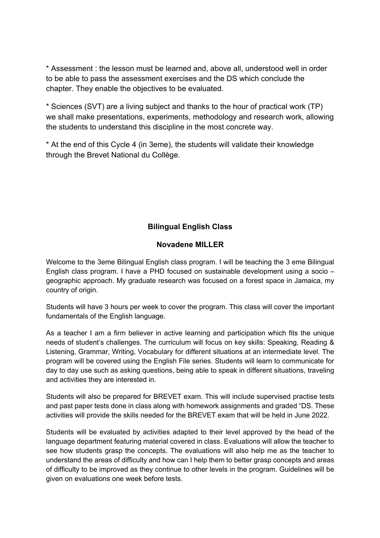\* Assessment : the lesson must be learned and, above all, understood well in order to be able to pass the assessment exercises and the DS which conclude the chapter. They enable the objectives to be evaluated.

\* Sciences (SVT) are a living subject and thanks to the hour of practical work (TP) we shall make presentations, experiments, methodology and research work, allowing the students to understand this discipline in the most concrete way.

\* At the end of this Cycle 4 (in 3eme), the students will validate their knowledge through the Brevet National du Collège.

### **Bilingual English Class**

### **Novadene MILLER**

Welcome to the 3eme Bilingual English class program. I will be teaching the 3 eme Bilingual English class program. I have a PHD focused on sustainable development using a socio – geographic approach. My graduate research was focused on a forest space in Jamaica, my country of origin.

Students will have 3 hours per week to cover the program. This class will cover the important fundamentals of the English language.

As a teacher I am a firm believer in active learning and participation which fits the unique needs of student's challenges. The curriculum will focus on key skills: Speaking, Reading & Listening, Grammar, Writing, Vocabulary for different situations at an intermediate level. The program will be covered using the English File series. Students will learn to communicate for day to day use such as asking questions, being able to speak in different situations, traveling and activities they are interested in.

Students will also be prepared for BREVET exam. This will include supervised practise tests and past paper tests done in class along with homework assignments and graded "DS. These activities will provide the skills needed for the BREVET exam that will be held in June 2022.

Students will be evaluated by activities adapted to their level approved by the head of the language department featuring material covered in class. Evaluations will allow the teacher to see how students grasp the concepts. The evaluations will also help me as the teacher to understand the areas of difficulty and how can I help them to better grasp concepts and areas of difficulty to be improved as they continue to other levels in the program. Guidelines will be given on evaluations one week before tests.